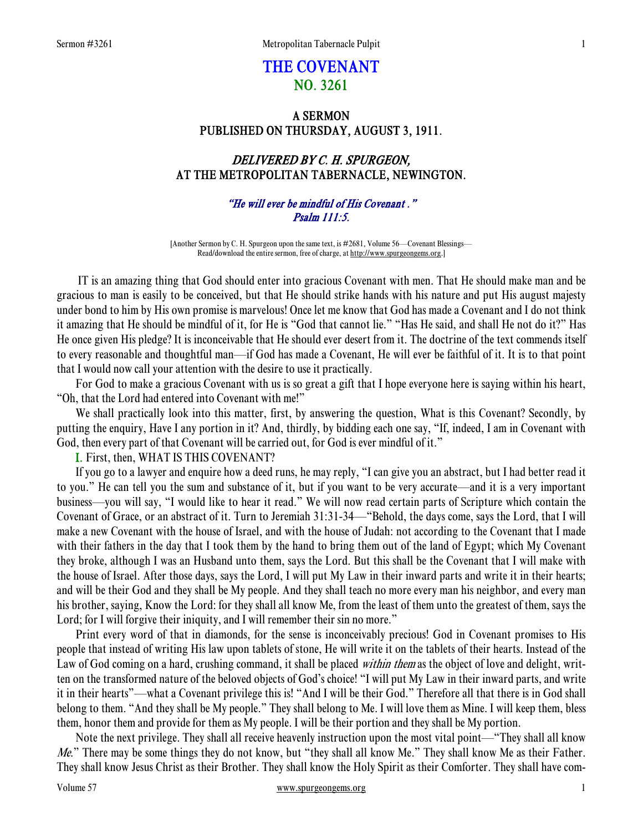# THE COVENANT NO. 3261

### A SERMON PUBLISHED ON THURSDAY, AUGUST 3, 1911.

## DELIVERED BY C. H. SPURGEON, AT THE METROPOLITAN TABERNACLE, NEWINGTON.

### "He will ever be mindful of His Covenant ." Psalm 111:5.

[Another Sermon by C. H. Spurgeon upon the same text, is #2681, Volume 56—Covenant Blessings— Read/download the entire sermon, free of charge, at http://www.spurgeongems.org.]

 IT is an amazing thing that God should enter into gracious Covenant with men. That He should make man and be gracious to man is easily to be conceived, but that He should strike hands with his nature and put His august majesty under bond to him by His own promise is marvelous! Once let me know that God has made a Covenant and I do not think it amazing that He should be mindful of it, for He is "God that cannot lie." "Has He said, and shall He not do it?" Has He once given His pledge? It is inconceivable that He should ever desert from it. The doctrine of the text commends itself to every reasonable and thoughtful man—if God has made a Covenant, He will ever be faithful of it. It is to that point that I would now call your attention with the desire to use it practically.

 For God to make a gracious Covenant with us is so great a gift that I hope everyone here is saying within his heart, "Oh, that the Lord had entered into Covenant with me!"

 We shall practically look into this matter, first, by answering the question, What is this Covenant? Secondly, by putting the enquiry, Have I any portion in it? And, thirdly, by bidding each one say, "If, indeed, I am in Covenant with God, then every part of that Covenant will be carried out, for God is ever mindful of it."

I. First, then, WHAT IS THIS COVENANT?

 If you go to a lawyer and enquire how a deed runs, he may reply, "I can give you an abstract, but I had better read it to you." He can tell you the sum and substance of it, but if you want to be very accurate—and it is a very important business—you will say, "I would like to hear it read." We will now read certain parts of Scripture which contain the Covenant of Grace, or an abstract of it. Turn to Jeremiah 31:31-34—"Behold, the days come, says the Lord, that I will make a new Covenant with the house of Israel, and with the house of Judah: not according to the Covenant that I made with their fathers in the day that I took them by the hand to bring them out of the land of Egypt; which My Covenant they broke, although I was an Husband unto them, says the Lord. But this shall be the Covenant that I will make with the house of Israel. After those days, says the Lord, I will put My Law in their inward parts and write it in their hearts; and will be their God and they shall be My people. And they shall teach no more every man his neighbor, and every man his brother, saying, Know the Lord: for they shall all know Me, from the least of them unto the greatest of them, says the Lord; for I will forgive their iniquity, and I will remember their sin no more."

 Print every word of that in diamonds, for the sense is inconceivably precious! God in Covenant promises to His people that instead of writing His law upon tablets of stone, He will write it on the tablets of their hearts. Instead of the Law of God coming on a hard, crushing command, it shall be placed within them as the object of love and delight, written on the transformed nature of the beloved objects of God's choice! "I will put My Law in their inward parts, and write it in their hearts"—what a Covenant privilege this is! "And I will be their God." Therefore all that there is in God shall belong to them. "And they shall be My people." They shall belong to Me. I will love them as Mine. I will keep them, bless them, honor them and provide for them as My people. I will be their portion and they shall be My portion.

 Note the next privilege. They shall all receive heavenly instruction upon the most vital point—"They shall all know *Me.*" There may be some things they do not know, but "they shall all know Me." They shall know Me as their Father. They shall know Jesus Christ as their Brother. They shall know the Holy Spirit as their Comforter. They shall have com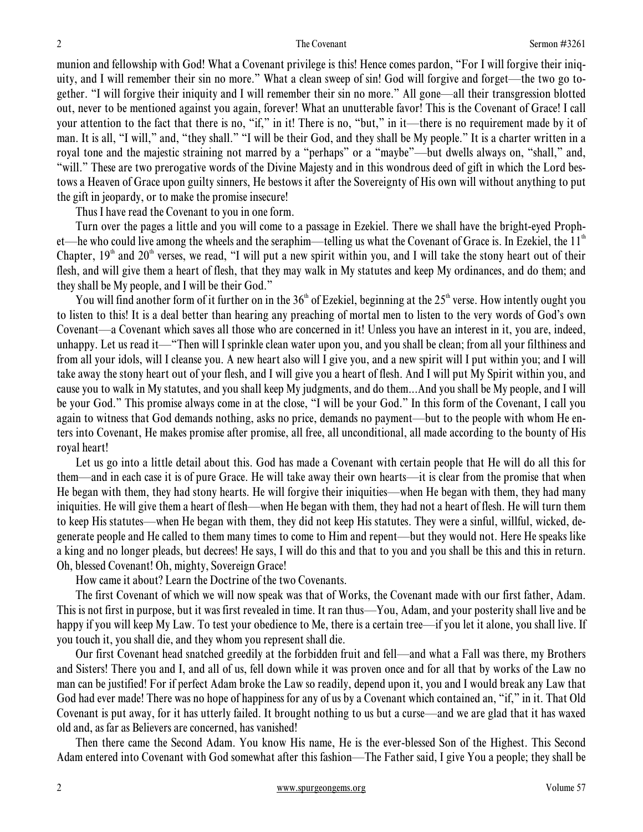munion and fellowship with God! What a Covenant privilege is this! Hence comes pardon, "For I will forgive their iniquity, and I will remember their sin no more." What a clean sweep of sin! God will forgive and forget—the two go together. "I will forgive their iniquity and I will remember their sin no more." All gone—all their transgression blotted out, never to be mentioned against you again, forever! What an unutterable favor! This is the Covenant of Grace! I call your attention to the fact that there is no, "if," in it! There is no, "but," in it—there is no requirement made by it of man. It is all, "I will," and, "they shall." "I will be their God, and they shall be My people." It is a charter written in a royal tone and the majestic straining not marred by a "perhaps" or a "maybe"—but dwells always on, "shall," and, "will." These are two prerogative words of the Divine Majesty and in this wondrous deed of gift in which the Lord bestows a Heaven of Grace upon guilty sinners, He bestows it after the Sovereignty of His own will without anything to put the gift in jeopardy, or to make the promise insecure!

Thus I have read the Covenant to you in one form.

 Turn over the pages a little and you will come to a passage in Ezekiel. There we shall have the bright-eyed Prophet—he who could live among the wheels and the seraphim—telling us what the Covenant of Grace is. In Ezekiel, the  $11<sup>th</sup>$ Chapter,  $19<sup>th</sup>$  and  $20<sup>th</sup>$  verses, we read, "I will put a new spirit within you, and I will take the stony heart out of their flesh, and will give them a heart of flesh, that they may walk in My statutes and keep My ordinances, and do them; and they shall be My people, and I will be their God."

You will find another form of it further on in the  $36<sup>th</sup>$  of Ezekiel, beginning at the  $25<sup>th</sup>$  verse. How intently ought you to listen to this! It is a deal better than hearing any preaching of mortal men to listen to the very words of God's own Covenant—a Covenant which saves all those who are concerned in it! Unless you have an interest in it, you are, indeed, unhappy. Let us read it—"Then will I sprinkle clean water upon you, and you shall be clean; from all your filthiness and from all your idols, will I cleanse you. A new heart also will I give you, and a new spirit will I put within you; and I will take away the stony heart out of your flesh, and I will give you a heart of flesh. And I will put My Spirit within you, and cause you to walk in My statutes, and you shall keep My judgments, and do them...And you shall be My people, and I will be your God." This promise always come in at the close, "I will be your God." In this form of the Covenant, I call you again to witness that God demands nothing, asks no price, demands no payment—but to the people with whom He enters into Covenant, He makes promise after promise, all free, all unconditional, all made according to the bounty of His royal heart!

 Let us go into a little detail about this. God has made a Covenant with certain people that He will do all this for them—and in each case it is of pure Grace. He will take away their own hearts—it is clear from the promise that when He began with them, they had stony hearts. He will forgive their iniquities—when He began with them, they had many iniquities. He will give them a heart of flesh—when He began with them, they had not a heart of flesh. He will turn them to keep His statutes—when He began with them, they did not keep His statutes. They were a sinful, willful, wicked, degenerate people and He called to them many times to come to Him and repent—but they would not. Here He speaks like a king and no longer pleads, but decrees! He says, I will do this and that to you and you shall be this and this in return. Oh, blessed Covenant! Oh, mighty, Sovereign Grace!

How came it about? Learn the Doctrine of the two Covenants.

 The first Covenant of which we will now speak was that of Works, the Covenant made with our first father, Adam. This is not first in purpose, but it was first revealed in time. It ran thus—You, Adam, and your posterity shall live and be happy if you will keep My Law. To test your obedience to Me, there is a certain tree—if you let it alone, you shall live. If you touch it, you shall die, and they whom you represent shall die.

 Our first Covenant head snatched greedily at the forbidden fruit and fell—and what a Fall was there, my Brothers and Sisters! There you and I, and all of us, fell down while it was proven once and for all that by works of the Law no man can be justified! For if perfect Adam broke the Law so readily, depend upon it, you and I would break any Law that God had ever made! There was no hope of happiness for any of us by a Covenant which contained an, "if," in it. That Old Covenant is put away, for it has utterly failed. It brought nothing to us but a curse—and we are glad that it has waxed old and, as far as Believers are concerned, has vanished!

 Then there came the Second Adam. You know His name, He is the ever-blessed Son of the Highest. This Second Adam entered into Covenant with God somewhat after this fashion—The Father said, I give You a people; they shall be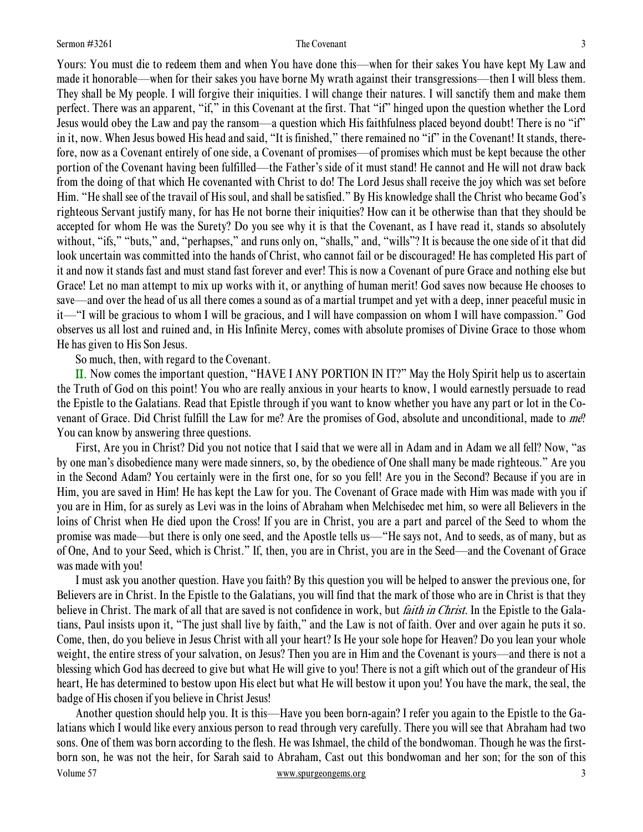Yours: You must die to redeem them and when You have done this—when for their sakes You have kept My Law and made it honorable—when for their sakes you have borne My wrath against their transgressions—then I will bless them. They shall be My people. I will forgive their iniquities. I will change their natures. I will sanctify them and make them perfect. There was an apparent, "if," in this Covenant at the first. That "if" hinged upon the question whether the Lord Jesus would obey the Law and pay the ransom—a question which His faithfulness placed beyond doubt! There is no "if" in it, now. When Jesus bowed His head and said, "It is finished," there remained no "if" in the Covenant! It stands, therefore, now as a Covenant entirely of one side, a Covenant of promises—of promises which must be kept because the other portion of the Covenant having been fulfilled—the Father's side of it must stand! He cannot and He will not draw back from the doing of that which He covenanted with Christ to do! The Lord Jesus shall receive the joy which was set before Him. "He shall see of the travail of His soul, and shall be satisfied." By His knowledge shall the Christ who became God's righteous Servant justify many, for has He not borne their iniquities? How can it be otherwise than that they should be accepted for whom He was the Surety? Do you see why it is that the Covenant, as I have read it, stands so absolutely without, "ifs," "buts," and, "perhapses," and runs only on, "shalls," and, "wills"? It is because the one side of it that did look uncertain was committed into the hands of Christ, who cannot fail or be discouraged! He has completed His part of it and now it stands fast and must stand fast forever and ever! This is now a Covenant of pure Grace and nothing else but Grace! Let no man attempt to mix up works with it, or anything of human merit! God saves now because He chooses to save—and over the head of us all there comes a sound as of a martial trumpet and yet with a deep, inner peaceful music in it—"I will be gracious to whom I will be gracious, and I will have compassion on whom I will have compassion." God observes us all lost and ruined and, in His Infinite Mercy, comes with absolute promises of Divine Grace to those whom He has given to His Son Jesus.

So much, then, with regard to the Covenant.

II. Now comes the important question, "HAVE I ANY PORTION IN IT?" May the Holy Spirit help us to ascertain the Truth of God on this point! You who are really anxious in your hearts to know, I would earnestly persuade to read the Epistle to the Galatians. Read that Epistle through if you want to know whether you have any part or lot in the Covenant of Grace. Did Christ fulfill the Law for me? Are the promises of God, absolute and unconditional, made to me? You can know by answering three questions.

 First, Are you in Christ? Did you not notice that I said that we were all in Adam and in Adam we all fell? Now, "as by one man's disobedience many were made sinners, so, by the obedience of One shall many be made righteous." Are you in the Second Adam? You certainly were in the first one, for so you fell! Are you in the Second? Because if you are in Him, you are saved in Him! He has kept the Law for you. The Covenant of Grace made with Him was made with you if you are in Him, for as surely as Levi was in the loins of Abraham when Melchisedec met him, so were all Believers in the loins of Christ when He died upon the Cross! If you are in Christ, you are a part and parcel of the Seed to whom the promise was made—but there is only one seed, and the Apostle tells us—"He says not, And to seeds, as of many, but as of One, And to your Seed, which is Christ." If, then, you are in Christ, you are in the Seed—and the Covenant of Grace was made with you!

 I must ask you another question. Have you faith? By this question you will be helped to answer the previous one, for Believers are in Christ. In the Epistle to the Galatians, you will find that the mark of those who are in Christ is that they believe in Christ. The mark of all that are saved is not confidence in work, but *faith in Christ*. In the Epistle to the Galatians, Paul insists upon it, "The just shall live by faith," and the Law is not of faith. Over and over again he puts it so. Come, then, do you believe in Jesus Christ with all your heart? Is He your sole hope for Heaven? Do you lean your whole weight, the entire stress of your salvation, on Jesus? Then you are in Him and the Covenant is yours—and there is not a blessing which God has decreed to give but what He will give to you! There is not a gift which out of the grandeur of His heart, He has determined to bestow upon His elect but what He will bestow it upon you! You have the mark, the seal, the badge of His chosen if you believe in Christ Jesus!

Volume 57 www.spurgeongems.org 3 Another question should help you. It is this—Have you been born-again? I refer you again to the Epistle to the Galatians which I would like every anxious person to read through very carefully. There you will see that Abraham had two sons. One of them was born according to the flesh. He was Ishmael, the child of the bondwoman. Though he was the firstborn son, he was not the heir, for Sarah said to Abraham, Cast out this bondwoman and her son; for the son of this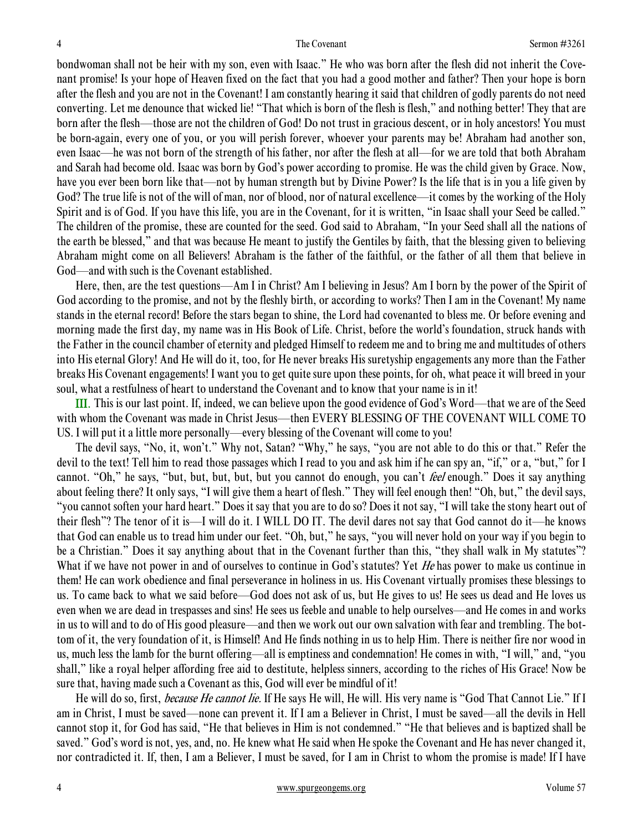bondwoman shall not be heir with my son, even with Isaac." He who was born after the flesh did not inherit the Covenant promise! Is your hope of Heaven fixed on the fact that you had a good mother and father? Then your hope is born after the flesh and you are not in the Covenant! I am constantly hearing it said that children of godly parents do not need converting. Let me denounce that wicked lie! "That which is born of the flesh is flesh," and nothing better! They that are born after the flesh—those are not the children of God! Do not trust in gracious descent, or in holy ancestors! You must be born-again, every one of you, or you will perish forever, whoever your parents may be! Abraham had another son, even Isaac—he was not born of the strength of his father, nor after the flesh at all—for we are told that both Abraham and Sarah had become old. Isaac was born by God's power according to promise. He was the child given by Grace. Now, have you ever been born like that—not by human strength but by Divine Power? Is the life that is in you a life given by God? The true life is not of the will of man, nor of blood, nor of natural excellence—it comes by the working of the Holy Spirit and is of God. If you have this life, you are in the Covenant, for it is written, "in Isaac shall your Seed be called." The children of the promise, these are counted for the seed. God said to Abraham, "In your Seed shall all the nations of the earth be blessed," and that was because He meant to justify the Gentiles by faith, that the blessing given to believing Abraham might come on all Believers! Abraham is the father of the faithful, or the father of all them that believe in God—and with such is the Covenant established.

 Here, then, are the test questions—Am I in Christ? Am I believing in Jesus? Am I born by the power of the Spirit of God according to the promise, and not by the fleshly birth, or according to works? Then I am in the Covenant! My name stands in the eternal record! Before the stars began to shine, the Lord had covenanted to bless me. Or before evening and morning made the first day, my name was in His Book of Life. Christ, before the world's foundation, struck hands with the Father in the council chamber of eternity and pledged Himself to redeem me and to bring me and multitudes of others into His eternal Glory! And He will do it, too, for He never breaks His suretyship engagements any more than the Father breaks His Covenant engagements! I want you to get quite sure upon these points, for oh, what peace it will breed in your soul, what a restfulness of heart to understand the Covenant and to know that your name is in it!

III. This is our last point. If, indeed, we can believe upon the good evidence of God's Word—that we are of the Seed with whom the Covenant was made in Christ Jesus—then EVERY BLESSING OF THE COVENANT WILL COME TO US. I will put it a little more personally—every blessing of the Covenant will come to you!

 The devil says, "No, it, won't." Why not, Satan? "Why," he says, "you are not able to do this or that." Refer the devil to the text! Tell him to read those passages which I read to you and ask him if he can spy an, "if," or a, "but," for I cannot. "Oh," he says, "but, but, but, but, but you cannot do enough, you can't *feel* enough." Does it say anything about feeling there? It only says, "I will give them a heart of flesh." They will feel enough then! "Oh, but," the devil says, "you cannot soften your hard heart." Does it say that you are to do so? Does it not say, "I will take the stony heart out of their flesh"? The tenor of it is—I will do it. I WILL DO IT. The devil dares not say that God cannot do it—he knows that God can enable us to tread him under our feet. "Oh, but," he says, "you will never hold on your way if you begin to be a Christian." Does it say anything about that in the Covenant further than this, "they shall walk in My statutes"? What if we have not power in and of ourselves to continue in God's statutes? Yet He has power to make us continue in them! He can work obedience and final perseverance in holiness in us. His Covenant virtually promises these blessings to us. To came back to what we said before—God does not ask of us, but He gives to us! He sees us dead and He loves us even when we are dead in trespasses and sins! He sees us feeble and unable to help ourselves—and He comes in and works in us to will and to do of His good pleasure—and then we work out our own salvation with fear and trembling. The bottom of it, the very foundation of it, is Himself! And He finds nothing in us to help Him. There is neither fire nor wood in us, much less the lamb for the burnt offering—all is emptiness and condemnation! He comes in with, "I will," and, "you shall," like a royal helper affording free aid to destitute, helpless sinners, according to the riches of His Grace! Now be sure that, having made such a Covenant as this, God will ever be mindful of it!

He will do so, first, *because He cannot lie*. If He says He will, He will. His very name is "God That Cannot Lie." If I am in Christ, I must be saved—none can prevent it. If I am a Believer in Christ, I must be saved—all the devils in Hell cannot stop it, for God has said, "He that believes in Him is not condemned." "He that believes and is baptized shall be saved." God's word is not, yes, and, no. He knew what He said when He spoke the Covenant and He has never changed it, nor contradicted it. If, then, I am a Believer, I must be saved, for I am in Christ to whom the promise is made! If I have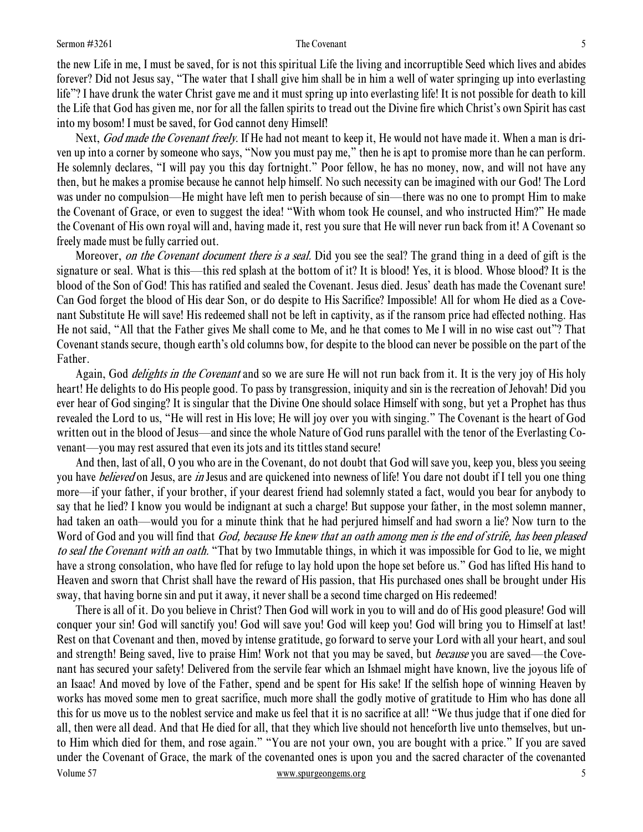### Sermon #3261 5

the new Life in me, I must be saved, for is not this spiritual Life the living and incorruptible Seed which lives and abides forever? Did not Jesus say, "The water that I shall give him shall be in him a well of water springing up into everlasting life"? I have drunk the water Christ gave me and it must spring up into everlasting life! It is not possible for death to kill the Life that God has given me, nor for all the fallen spirits to tread out the Divine fire which Christ's own Spirit has cast into my bosom! I must be saved, for God cannot deny Himself!

Next, God made the Covenant freely. If He had not meant to keep it, He would not have made it. When a man is driven up into a corner by someone who says, "Now you must pay me," then he is apt to promise more than he can perform. He solemnly declares, "I will pay you this day fortnight." Poor fellow, he has no money, now, and will not have any then, but he makes a promise because he cannot help himself. No such necessity can be imagined with our God! The Lord was under no compulsion—He might have left men to perish because of sin—there was no one to prompt Him to make the Covenant of Grace, or even to suggest the idea! "With whom took He counsel, and who instructed Him?" He made the Covenant of His own royal will and, having made it, rest you sure that He will never run back from it! A Covenant so freely made must be fully carried out.

Moreover, *on the Covenant document there is a seal*. Did you see the seal? The grand thing in a deed of gift is the signature or seal. What is this—this red splash at the bottom of it? It is blood! Yes, it is blood. Whose blood? It is the blood of the Son of God! This has ratified and sealed the Covenant. Jesus died. Jesus' death has made the Covenant sure! Can God forget the blood of His dear Son, or do despite to His Sacrifice? Impossible! All for whom He died as a Covenant Substitute He will save! His redeemed shall not be left in captivity, as if the ransom price had effected nothing. Has He not said, "All that the Father gives Me shall come to Me, and he that comes to Me I will in no wise cast out"? That Covenant stands secure, though earth's old columns bow, for despite to the blood can never be possible on the part of the Father.

Again, God *delights in the Covenant* and so we are sure He will not run back from it. It is the very joy of His holy heart! He delights to do His people good. To pass by transgression, iniquity and sin is the recreation of Jehovah! Did you ever hear of God singing? It is singular that the Divine One should solace Himself with song, but yet a Prophet has thus revealed the Lord to us, "He will rest in His love; He will joy over you with singing." The Covenant is the heart of God written out in the blood of Jesus—and since the whole Nature of God runs parallel with the tenor of the Everlasting Covenant—you may rest assured that even its jots and its tittles stand secure!

 And then, last of all, O you who are in the Covenant, do not doubt that God will save you, keep you, bless you seeing you have *believed* on Jesus, are *in* Jesus and are quickened into newness of life! You dare not doubt if I tell you one thing more—if your father, if your brother, if your dearest friend had solemnly stated a fact, would you bear for anybody to say that he lied? I know you would be indignant at such a charge! But suppose your father, in the most solemn manner, had taken an oath—would you for a minute think that he had perjured himself and had sworn a lie? Now turn to the Word of God and you will find that *God, because He knew that an oath among men is the end of strife, has been pleased* to seal the Covenant with an oath. "That by two Immutable things, in which it was impossible for God to lie, we might have a strong consolation, who have fled for refuge to lay hold upon the hope set before us." God has lifted His hand to Heaven and sworn that Christ shall have the reward of His passion, that His purchased ones shall be brought under His sway, that having borne sin and put it away, it never shall be a second time charged on His redeemed!

Volume 57 www.spurgeongems.org 5 There is all of it. Do you believe in Christ? Then God will work in you to will and do of His good pleasure! God will conquer your sin! God will sanctify you! God will save you! God will keep you! God will bring you to Himself at last! Rest on that Covenant and then, moved by intense gratitude, go forward to serve your Lord with all your heart, and soul and strength! Being saved, live to praise Him! Work not that you may be saved, but *because* you are saved—the Covenant has secured your safety! Delivered from the servile fear which an Ishmael might have known, live the joyous life of an Isaac! And moved by love of the Father, spend and be spent for His sake! If the selfish hope of winning Heaven by works has moved some men to great sacrifice, much more shall the godly motive of gratitude to Him who has done all this for us move us to the noblest service and make us feel that it is no sacrifice at all! "We thus judge that if one died for all, then were all dead. And that He died for all, that they which live should not henceforth live unto themselves, but unto Him which died for them, and rose again." "You are not your own, you are bought with a price." If you are saved under the Covenant of Grace, the mark of the covenanted ones is upon you and the sacred character of the covenanted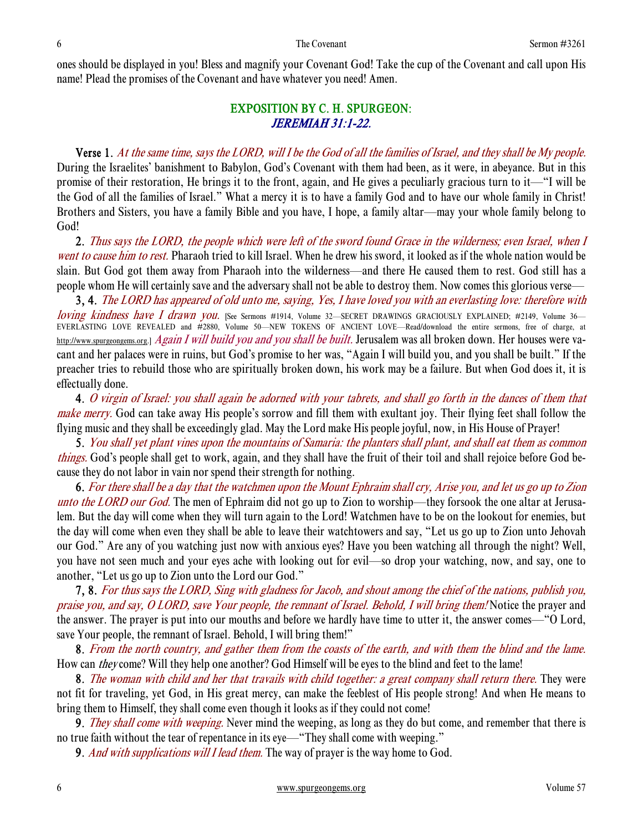ones should be displayed in you! Bless and magnify your Covenant God! Take the cup of the Covenant and call upon His name! Plead the promises of the Covenant and have whatever you need! Amen.

### EXPOSITION BY C. H. SPURGEON: JEREMIAH 31:1-22.

 Verse 1. At the same time, says the LORD, will I be the God of all the families of Israel, and they shall be My people. During the Israelites' banishment to Babylon, God's Covenant with them had been, as it were, in abeyance. But in this promise of their restoration, He brings it to the front, again, and He gives a peculiarly gracious turn to it—"I will be the God of all the families of Israel." What a mercy it is to have a family God and to have our whole family in Christ! Brothers and Sisters, you have a family Bible and you have, I hope, a family altar—may your whole family belong to God!

2. Thus says the LORD, the people which were left of the sword found Grace in the wilderness; even Israel, when I went to cause him to rest. Pharaoh tried to kill Israel. When he drew his sword, it looked as if the whole nation would be slain. But God got them away from Pharaoh into the wilderness—and there He caused them to rest. God still has a people whom He will certainly save and the adversary shall not be able to destroy them. Now comes this glorious verse—

3, 4. The LORD has appeared of old unto me, saying, Yes, I have loved you with an everlasting love: therefore with loving kindness have I drawn you. [See Sermons #1914, Volume 32—SECRET DRAWINGS GRACIOUSLY EXPLAINED; #2149, Volume 36— EVERLASTING LOVE REVEALED and #2880, Volume 50—NEW TOKENS OF ANCIENT LOVE—Read/download the entire sermons, free of charge, at http://www.spurgeongems.org.] Again I will build you and you shall be built. Jerusalem was all broken down. Her houses were vacant and her palaces were in ruins, but God's promise to her was, "Again I will build you, and you shall be built." If the preacher tries to rebuild those who are spiritually broken down, his work may be a failure. But when God does it, it is effectually done.

4. O virgin of Israel: you shall again be adorned with your tabrets, and shall go forth in the dances of them that make merry. God can take away His people's sorrow and fill them with exultant joy. Their flying feet shall follow the flying music and they shall be exceedingly glad. May the Lord make His people joyful, now, in His House of Prayer!

5. You shall yet plant vines upon the mountains of Samaria: the planters shall plant, and shall eat them as common things. God's people shall get to work, again, and they shall have the fruit of their toil and shall rejoice before God because they do not labor in vain nor spend their strength for nothing.

6. For there shall be a day that the watchmen upon the Mount Ephraim shall cry, Arise you, and let us go up to Zion unto the LORD our God. The men of Ephraim did not go up to Zion to worship—they forsook the one altar at Jerusalem. But the day will come when they will turn again to the Lord! Watchmen have to be on the lookout for enemies, but the day will come when even they shall be able to leave their watchtowers and say, "Let us go up to Zion unto Jehovah our God." Are any of you watching just now with anxious eyes? Have you been watching all through the night? Well, you have not seen much and your eyes ache with looking out for evil—so drop your watching, now, and say, one to another, "Let us go up to Zion unto the Lord our God."

7, 8. For thus says the LORD, Sing with gladness for Jacob, and shout among the chief of the nations, publish you, praise you, and say, O LORD, save Your people, the remnant of Israel. Behold, I will bring them! Notice the prayer and the answer. The prayer is put into our mouths and before we hardly have time to utter it, the answer comes—"O Lord, save Your people, the remnant of Israel. Behold, I will bring them!"

8. From the north country, and gather them from the coasts of the earth, and with them the blind and the lame. How can *they* come? Will they help one another? God Himself will be eyes to the blind and feet to the lame!

8. The woman with child and her that travails with child together: a great company shall return there. They were not fit for traveling, yet God, in His great mercy, can make the feeblest of His people strong! And when He means to bring them to Himself, they shall come even though it looks as if they could not come!

**9.** They shall come with weeping. Never mind the weeping, as long as they do but come, and remember that there is no true faith without the tear of repentance in its eye—"They shall come with weeping."

**9.** And with supplications will I lead them. The way of prayer is the way home to God.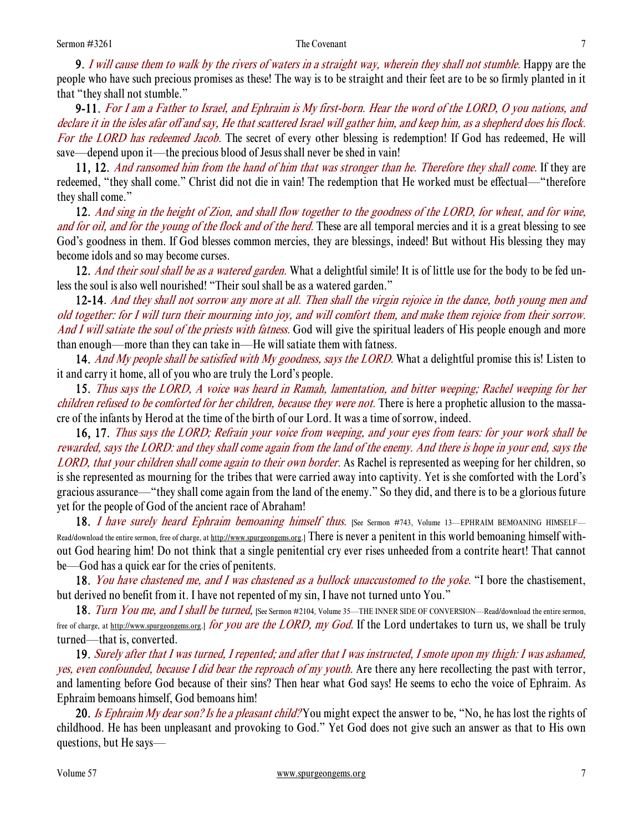**9.** I will cause them to walk by the rivers of waters in a straight way, wherein they shall not stumble. Happy are the people who have such precious promises as these! The way is to be straight and their feet are to be so firmly planted in it that "they shall not stumble."

9-11. For I am a Father to Israel, and Ephraim is My first-born. Hear the word of the LORD, O you nations, and declare it in the isles afar off and say, He that scattered Israel will gather him, and keep him, as a shepherd does his flock. For the LORD has redeemed Jacob. The secret of every other blessing is redemption! If God has redeemed, He will save—depend upon it—the precious blood of Jesus shall never be shed in vain!

11, 12. And ransomed him from the hand of him that was stronger than he. Therefore they shall come. If they are redeemed, "they shall come." Christ did not die in vain! The redemption that He worked must be effectual—"therefore they shall come."

12. And sing in the height of Zion, and shall flow together to the goodness of the LORD, for wheat, and for wine, and for oil, and for the young of the flock and of the herd. These are all temporal mercies and it is a great blessing to see God's goodness in them. If God blesses common mercies, they are blessings, indeed! But without His blessing they may become idols and so may become curses.

12. And their soul shall be as a watered garden. What a delightful simile! It is of little use for the body to be fed unless the soul is also well nourished! "Their soul shall be as a watered garden."

12-14. And they shall not sorrow any more at all. Then shall the virgin rejoice in the dance, both young men and old together: for I will turn their mourning into joy, and will comfort them, and make them rejoice from their sorrow. And I will satiate the soul of the priests with fatness. God will give the spiritual leaders of His people enough and more than enough—more than they can take in—He will satiate them with fatness.

14. And My people shall be satisfied with My goodness, says the LORD. What a delightful promise this is! Listen to it and carry it home, all of you who are truly the Lord's people.

15. Thus says the LORD, A voice was heard in Ramah, lamentation, and bitter weeping; Rachel weeping for her children refused to be comforted for her children, because they were not. There is here a prophetic allusion to the massacre of the infants by Herod at the time of the birth of our Lord. It was a time of sorrow, indeed.

16, 17. Thus says the LORD; Refrain your voice from weeping, and your eyes from tears: for your work shall be rewarded, says the LORD: and they shall come again from the land of the enemy. And there is hope in your end, says the LORD, that your children shall come again to their own border. As Rachel is represented as weeping for her children, so is she represented as mourning for the tribes that were carried away into captivity. Yet is she comforted with the Lord's gracious assurance—"they shall come again from the land of the enemy." So they did, and there is to be a glorious future yet for the people of God of the ancient race of Abraham!

18. I have surely heard Ephraim bemoaning himself thus. [See Sermon #743, Volume 13—EPHRAIM BEMOANING HIMSELF— Read/download the entire sermon, free of charge, at http://www.spurgeongems.org.] There is never a penitent in this world bemoaning himself without God hearing him! Do not think that a single penitential cry ever rises unheeded from a contrite heart! That cannot be—God has a quick ear for the cries of penitents.

18. You have chastened me, and I was chastened as a bullock unaccustomed to the yoke. "I bore the chastisement, but derived no benefit from it. I have not repented of my sin, I have not turned unto You."

18. Turn You me, and I shall be turned, [See Sermon #2104, Volume 35—THE INNER SIDE OF CONVERSION—Read/download the entire sermon, free of charge, at <u>http://www.spurgeongems.org</u>.] for you are the LORD, my God. If the Lord undertakes to turn us, we shall be truly turned—that is, converted.

19. Surely after that I was turned, I repented; and after that I was instructed, I smote upon my thigh: I was ashamed, yes, even confounded, because I did bear the reproach of my youth. Are there any here recollecting the past with terror, and lamenting before God because of their sins? Then hear what God says! He seems to echo the voice of Ephraim. As Ephraim bemoans himself, God bemoans him!

20. Is Ephraim My dear son? Is he a pleasant child? You might expect the answer to be, "No, he has lost the rights of childhood. He has been unpleasant and provoking to God." Yet God does not give such an answer as that to His own questions, but He says—